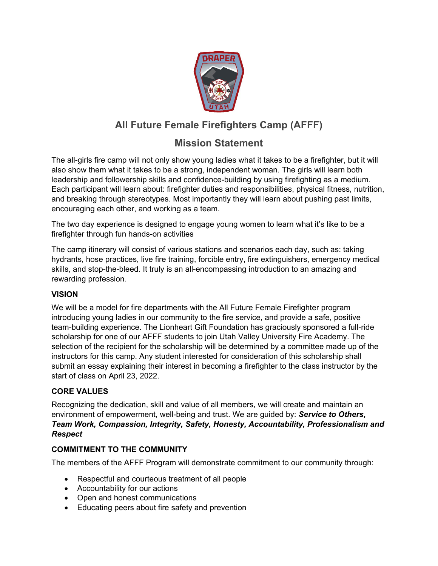

# **All Future Female Firefighters Camp (AFFF)**

## **Mission Statement**

The all-girls fire camp will not only show young ladies what it takes to be a firefighter, but it will also show them what it takes to be a strong, independent woman. The girls will learn both leadership and followership skills and confidence-building by using firefighting as a medium. Each participant will learn about: firefighter duties and responsibilities, physical fitness, nutrition, and breaking through stereotypes. Most importantly they will learn about pushing past limits, encouraging each other, and working as a team.

The two day experience is designed to engage young women to learn what it's like to be a firefighter through fun hands-on activities

The camp itinerary will consist of various stations and scenarios each day, such as: taking hydrants, hose practices, live fire training, forcible entry, fire extinguishers, emergency medical skills, and stop-the-bleed. It truly is an all-encompassing introduction to an amazing and rewarding profession.

## **VISION**

We will be a model for fire departments with the All Future Female Firefighter program introducing young ladies in our community to the fire service, and provide a safe, positive team-building experience. The Lionheart Gift Foundation has graciously sponsored a full-ride scholarship for one of our AFFF students to join Utah Valley University Fire Academy. The selection of the recipient for the scholarship will be determined by a committee made up of the instructors for this camp. Any student interested for consideration of this scholarship shall submit an essay explaining their interest in becoming a firefighter to the class instructor by the start of class on April 23, 2022.

## **CORE VALUES**

Recognizing the dedication, skill and value of all members, we will create and maintain an environment of empowerment, well-being and trust. We are guided by: *Service to Others, Team Work, Compassion, Integrity, Safety, Honesty, Accountability, Professionalism and Respect*

### **COMMITMENT TO THE COMMUNITY**

The members of the AFFF Program will demonstrate commitment to our community through:

- Respectful and courteous treatment of all people
- Accountability for our actions
- Open and honest communications
- Educating peers about fire safety and prevention